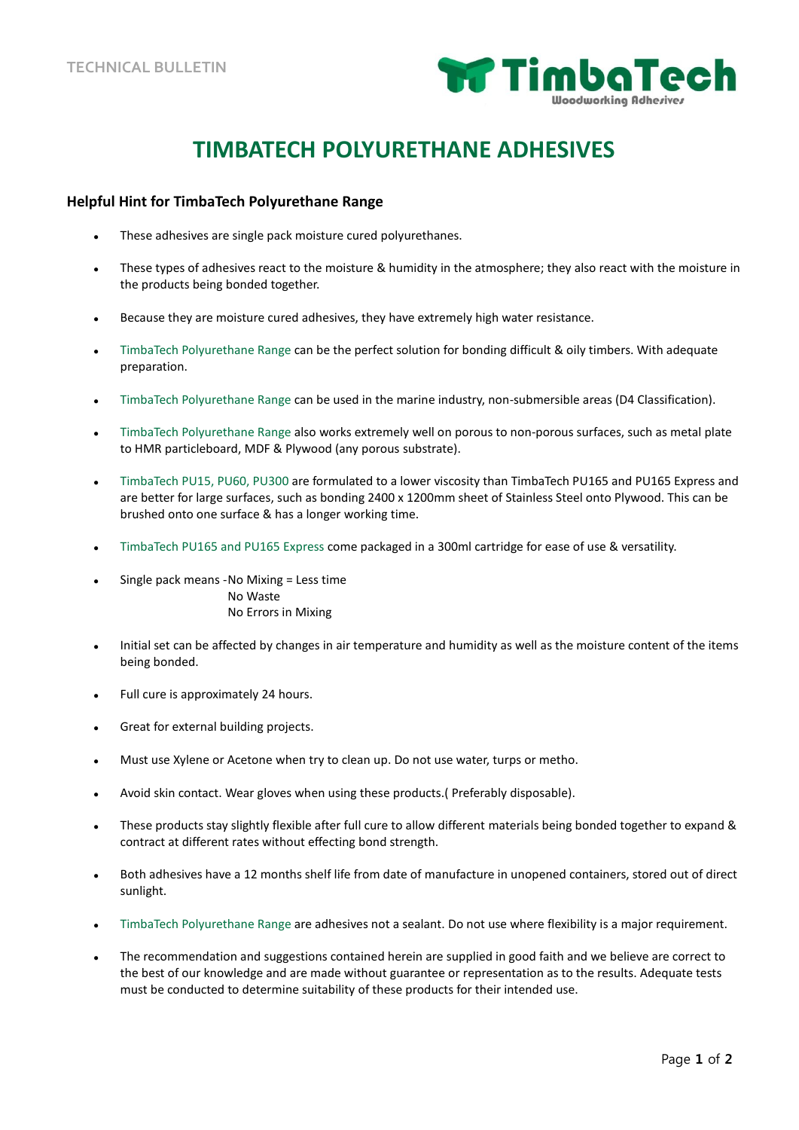

## **TIMBATECH POLYURETHANE ADHESIVES**

## **Helpful Hint for TimbaTech Polyurethane Range**

- These adhesives are single pack moisture cured polyurethanes.
- These types of adhesives react to the moisture & humidity in the atmosphere; they also react with the moisture in the products being bonded together.
- Because they are moisture cured adhesives, they have extremely high water resistance.
- TimbaTech Polyurethane Range can be the perfect solution for bonding difficult & oily timbers. With adequate preparation.
- TimbaTech Polyurethane Range can be used in the marine industry, non-submersible areas (D4 Classification).
- TimbaTech Polyurethane Range also works extremely well on porous to non-porous surfaces, such as metal plate to HMR particleboard, MDF & Plywood (any porous substrate).
- TimbaTech PU15, PU60, PU300 are formulated to a lower viscosity than TimbaTech PU165 and PU165 Express and are better for large surfaces, such as bonding 2400 x 1200mm sheet of Stainless Steel onto Plywood. This can be brushed onto one surface & has a longer working time.
- TimbaTech PU165 and PU165 Express come packaged in a 300ml cartridge for ease of use & versatility.
- Single pack means -No Mixing = Less time No Waste No Errors in Mixing
- Initial set can be affected by changes in air temperature and humidity as well as the moisture content of the items being bonded.
- Full cure is approximately 24 hours.
- Great for external building projects.
- Must use Xylene or Acetone when try to clean up. Do not use water, turps or metho.
- Avoid skin contact. Wear gloves when using these products.( Preferably disposable).
- These products stay slightly flexible after full cure to allow different materials being bonded together to expand & contract at different rates without effecting bond strength.
- Both adhesives have a 12 months shelf life from date of manufacture in unopened containers, stored out of direct sunlight.
- TimbaTech Polyurethane Range are adhesives not a sealant. Do not use where flexibility is a major requirement.
- The recommendation and suggestions contained herein are supplied in good faith and we believe are correct to the best of our knowledge and are made without guarantee or representation as to the results. Adequate tests must be conducted to determine suitability of these products for their intended use.